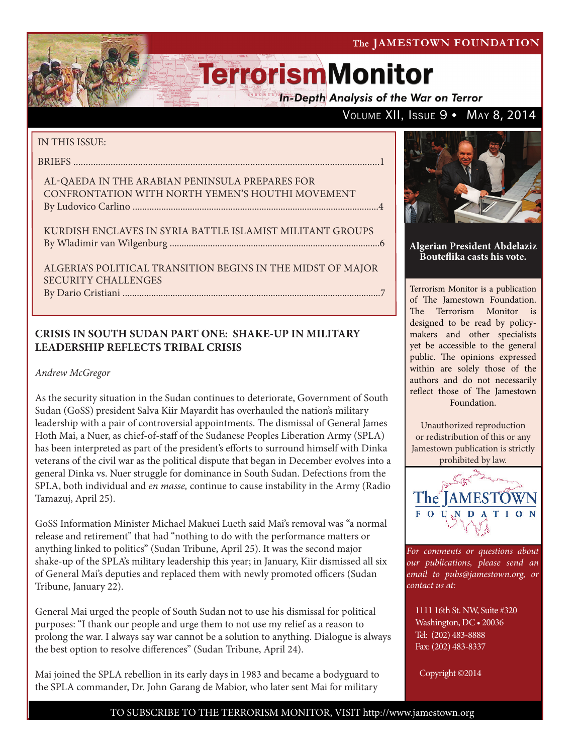**In-Depth Analysis of the War on Terror** 

### VOLUME XII, ISSUE  $9 \cdot$  May 8, 2014

#### IN THIS ISSUE:

briefs ...........................................................................................................................1

Al-Qaeda in the Arabian Peninsula Prepares for Confrontation with North Yemen's Houthi Movement By Ludovico Carlino .......................................................................................................4

Kurdish Enclaves in Syria Battle Islamist Militant Groups by Wladimir van Wilgenburg ........................................................................................6

Algeria's Political Transition Begins in the Midst of Major SECURITY CHALLENGES By Dario Cristiani ............................................................................................................7

### **CRISIS IN SOUTH SUDAN PART ONE: SHAKE-UP IN MILITARY LEADERSHIP REFLECTS TRIBAL CRISIS**

#### *Andrew McGregor*

As the security situation in the Sudan continues to deteriorate, Government of South Sudan (GoSS) president Salva Kiir Mayardit has overhauled the nation's military leadership with a pair of controversial appointments. The dismissal of General James Hoth Mai, a Nuer, as chief-of-staff of the Sudanese Peoples Liberation Army (SPLA) has been interpreted as part of the president's efforts to surround himself with Dinka veterans of the civil war as the political dispute that began in December evolves into a general Dinka vs. Nuer struggle for dominance in South Sudan. Defections from the SPLA, both individual and *en masse,* continue to cause instability in the Army (Radio Tamazuj, April 25).

GoSS Information Minister Michael Makuei Lueth said Mai's removal was "a normal release and retirement" that had "nothing to do with the performance matters or anything linked to politics" (Sudan Tribune, April 25). It was the second major shake-up of the SPLA's military leadership this year; in January, Kiir dismissed all six of General Mai's deputies and replaced them with newly promoted officers (Sudan Tribune, January 22).

General Mai urged the people of South Sudan not to use his dismissal for political purposes: "I thank our people and urge them to not use my relief as a reason to prolong the war. I always say war cannot be a solution to anything. Dialogue is always the best option to resolve differences" (Sudan Tribune, April 24).

Mai joined the SPLA rebellion in its early days in 1983 and became a bodyguard to the SPLA commander, Dr. John Garang de Mabior, who later sent Mai for military



#### **Algerian President Abdelaziz Bouteflika casts his vote.**

Terrorism Monitor is a publication of The Jamestown Foundation. The Terrorism Monitor is designed to be read by policymakers and other specialists yet be accessible to the general public. The opinions expressed within are solely those of the authors and do not necessarily reflect those of The Jamestown Foundation.

Unauthorized reproduction or redistribution of this or any Jamestown publication is strictly prohibited by law.



*For comments or questions about our publications, please send an email to pubs@jamestown.org, or contact us at:* 

1111 16th St. NW, Suite #320 Washington, DC • 20036 Tel: (202) 483-8888 Fax: (202) 483-8337

Copyright ©2014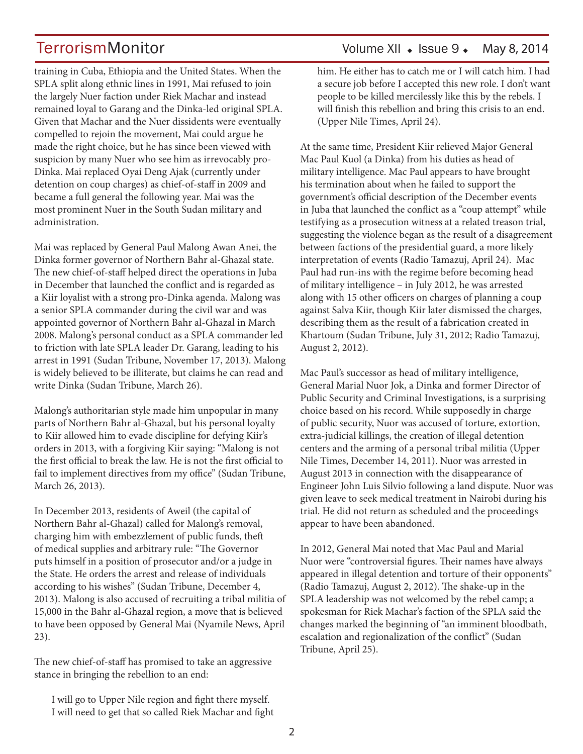training in Cuba, Ethiopia and the United States. When the SPLA split along ethnic lines in 1991, Mai refused to join the largely Nuer faction under Riek Machar and instead remained loyal to Garang and the Dinka-led original SPLA. Given that Machar and the Nuer dissidents were eventually compelled to rejoin the movement, Mai could argue he made the right choice, but he has since been viewed with suspicion by many Nuer who see him as irrevocably pro-Dinka. Mai replaced Oyai Deng Ajak (currently under detention on coup charges) as chief-of-staff in 2009 and became a full general the following year. Mai was the most prominent Nuer in the South Sudan military and administration.

Mai was replaced by General Paul Malong Awan Anei, the Dinka former governor of Northern Bahr al-Ghazal state. The new chief-of-staff helped direct the operations in Juba in December that launched the conflict and is regarded as a Kiir loyalist with a strong pro-Dinka agenda. Malong was a senior SPLA commander during the civil war and was appointed governor of Northern Bahr al-Ghazal in March 2008. Malong's personal conduct as a SPLA commander led to friction with late SPLA leader Dr. Garang, leading to his arrest in 1991 (Sudan Tribune, November 17, 2013). Malong is widely believed to be illiterate, but claims he can read and write Dinka (Sudan Tribune, March 26).

Malong's authoritarian style made him unpopular in many parts of Northern Bahr al-Ghazal, but his personal loyalty to Kiir allowed him to evade discipline for defying Kiir's orders in 2013, with a forgiving Kiir saying: "Malong is not the first official to break the law. He is not the first official to fail to implement directives from my office" (Sudan Tribune, March 26, 2013).

In December 2013, residents of Aweil (the capital of Northern Bahr al-Ghazal) called for Malong's removal, charging him with embezzlement of public funds, theft of medical supplies and arbitrary rule: "The Governor puts himself in a position of prosecutor and/or a judge in the State. He orders the arrest and release of individuals according to his wishes" (Sudan Tribune, December 4, 2013). Malong is also accused of recruiting a tribal militia of 15,000 in the Bahr al-Ghazal region, a move that is believed to have been opposed by General Mai (Nyamile News, April 23).

The new chief-of-staff has promised to take an aggressive stance in bringing the rebellion to an end:

I will go to Upper Nile region and fight there myself. I will need to get that so called Riek Machar and fight

### TerrorismMonitor Volume XII • Issue 9 • May 8, 2014

him. He either has to catch me or I will catch him. I had a secure job before I accepted this new role. I don't want people to be killed mercilessly like this by the rebels. I will finish this rebellion and bring this crisis to an end. (Upper Nile Times, April 24).

At the same time, President Kiir relieved Major General Mac Paul Kuol (a Dinka) from his duties as head of military intelligence. Mac Paul appears to have brought his termination about when he failed to support the government's official description of the December events in Juba that launched the conflict as a "coup attempt" while testifying as a prosecution witness at a related treason trial, suggesting the violence began as the result of a disagreement between factions of the presidential guard, a more likely interpretation of events (Radio Tamazuj, April 24). Mac Paul had run-ins with the regime before becoming head of military intelligence – in July 2012, he was arrested along with 15 other officers on charges of planning a coup against Salva Kiir, though Kiir later dismissed the charges, describing them as the result of a fabrication created in Khartoum (Sudan Tribune, July 31, 2012; Radio Tamazuj, August 2, 2012).

Mac Paul's successor as head of military intelligence, General Marial Nuor Jok, a Dinka and former Director of Public Security and Criminal Investigations, is a surprising choice based on his record. While supposedly in charge of public security, Nuor was accused of torture, extortion, extra-judicial killings, the creation of illegal detention centers and the arming of a personal tribal militia (Upper Nile Times, December 14, 2011). Nuor was arrested in August 2013 in connection with the disappearance of Engineer John Luis Silvio following a land dispute. Nuor was given leave to seek medical treatment in Nairobi during his trial. He did not return as scheduled and the proceedings appear to have been abandoned.

In 2012, General Mai noted that Mac Paul and Marial Nuor were "controversial figures. Their names have always appeared in illegal detention and torture of their opponents" (Radio Tamazuj, August 2, 2012). The shake-up in the SPLA leadership was not welcomed by the rebel camp; a spokesman for Riek Machar's faction of the SPLA said the changes marked the beginning of "an imminent bloodbath, escalation and regionalization of the conflict" (Sudan Tribune, April 25).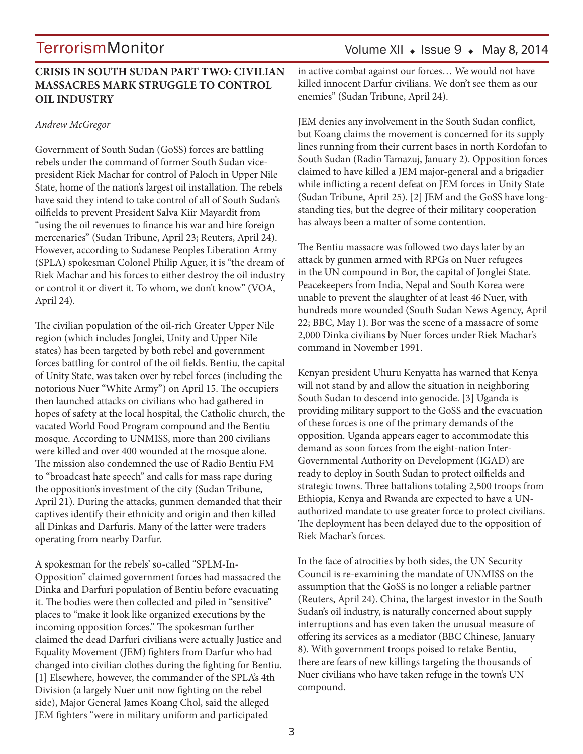### **CRISIS IN SOUTH SUDAN PART TWO: CIVILIAN MASSACRES MARK STRUGGLE TO CONTROL OIL INDUSTRY**

#### *Andrew McGregor*

Government of South Sudan (GoSS) forces are battling rebels under the command of former South Sudan vicepresident Riek Machar for control of Paloch in Upper Nile State, home of the nation's largest oil installation. The rebels have said they intend to take control of all of South Sudan's oilfields to prevent President Salva Kiir Mayardit from "using the oil revenues to finance his war and hire foreign mercenaries" (Sudan Tribune, April 23; Reuters, April 24). However, according to Sudanese Peoples Liberation Army (SPLA) spokesman Colonel Philip Aguer, it is "the dream of Riek Machar and his forces to either destroy the oil industry or control it or divert it. To whom, we don't know" (VOA, April 24).

The civilian population of the oil-rich Greater Upper Nile region (which includes Jonglei, Unity and Upper Nile states) has been targeted by both rebel and government forces battling for control of the oil fields. Bentiu, the capital of Unity State, was taken over by rebel forces (including the notorious Nuer "White Army") on April 15. The occupiers then launched attacks on civilians who had gathered in hopes of safety at the local hospital, the Catholic church, the vacated World Food Program compound and the Bentiu mosque. According to UNMISS, more than 200 civilians were killed and over 400 wounded at the mosque alone. The mission also condemned the use of Radio Bentiu FM to "broadcast hate speech" and calls for mass rape during the opposition's investment of the city (Sudan Tribune, April 21). During the attacks, gunmen demanded that their captives identify their ethnicity and origin and then killed all Dinkas and Darfuris. Many of the latter were traders operating from nearby Darfur.

A spokesman for the rebels' so-called "SPLM-In-Opposition" claimed government forces had massacred the Dinka and Darfuri population of Bentiu before evacuating it. The bodies were then collected and piled in "sensitive" places to "make it look like organized executions by the incoming opposition forces." The spokesman further claimed the dead Darfuri civilians were actually Justice and Equality Movement (JEM) fighters from Darfur who had changed into civilian clothes during the fighting for Bentiu. [1] Elsewhere, however, the commander of the SPLA's 4th Division (a largely Nuer unit now fighting on the rebel side), Major General James Koang Chol, said the alleged JEM fighters "were in military uniform and participated

### Volume XII  $\bullet$  Issue 9  $\bullet$  May 8, 2014

in active combat against our forces… We would not have killed innocent Darfur civilians. We don't see them as our enemies" (Sudan Tribune, April 24).

JEM denies any involvement in the South Sudan conflict, but Koang claims the movement is concerned for its supply lines running from their current bases in north Kordofan to South Sudan (Radio Tamazuj, January 2). Opposition forces claimed to have killed a JEM major-general and a brigadier while inflicting a recent defeat on JEM forces in Unity State (Sudan Tribune, April 25). [2] JEM and the GoSS have longstanding ties, but the degree of their military cooperation has always been a matter of some contention.

The Bentiu massacre was followed two days later by an attack by gunmen armed with RPGs on Nuer refugees in the UN compound in Bor, the capital of Jonglei State. Peacekeepers from India, Nepal and South Korea were unable to prevent the slaughter of at least 46 Nuer, with hundreds more wounded (South Sudan News Agency, April 22; BBC, May 1). Bor was the scene of a massacre of some 2,000 Dinka civilians by Nuer forces under Riek Machar's command in November 1991.

Kenyan president Uhuru Kenyatta has warned that Kenya will not stand by and allow the situation in neighboring South Sudan to descend into genocide. [3] Uganda is providing military support to the GoSS and the evacuation of these forces is one of the primary demands of the opposition. Uganda appears eager to accommodate this demand as soon forces from the eight-nation Inter-Governmental Authority on Development (IGAD) are ready to deploy in South Sudan to protect oilfields and strategic towns. Three battalions totaling 2,500 troops from Ethiopia, Kenya and Rwanda are expected to have a UNauthorized mandate to use greater force to protect civilians. The deployment has been delayed due to the opposition of Riek Machar's forces.

In the face of atrocities by both sides, the UN Security Council is re-examining the mandate of UNMISS on the assumption that the GoSS is no longer a reliable partner (Reuters, April 24). China, the largest investor in the South Sudan's oil industry, is naturally concerned about supply interruptions and has even taken the unusual measure of offering its services as a mediator (BBC Chinese, January 8). With government troops poised to retake Bentiu, there are fears of new killings targeting the thousands of Nuer civilians who have taken refuge in the town's UN compound.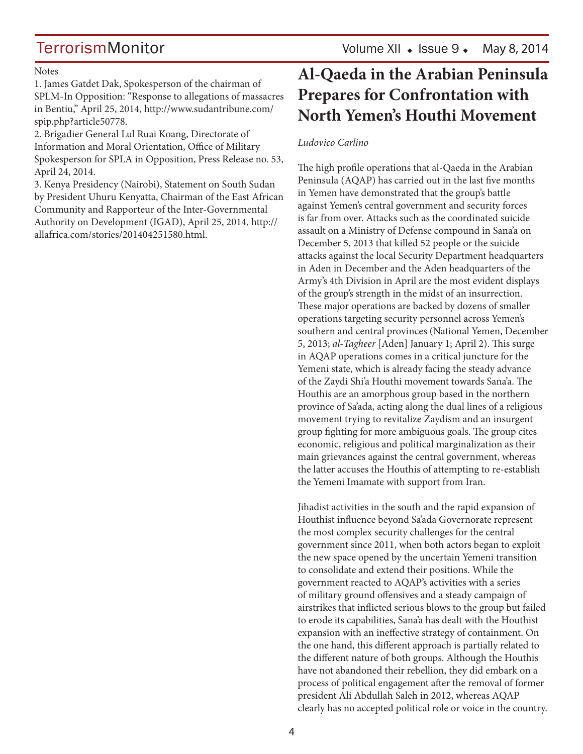#### Notes

1. James Gatdet Dak, Spokesperson of the chairman of SPLM-In Opposition: "Response to allegations of massacres in Bentiu," April 25, 2014, http://www.sudantribune.com/ spip.php?article50778.

2. Brigadier General Lul Ruai Koang, Directorate of Information and Moral Orientation, Office of Military Spokesperson for SPLA in Opposition, Press Release no. 53, April 24, 2014.

3. Kenya Presidency (Nairobi), Statement on South Sudan by President Uhuru Kenyatta, Chairman of the East African Community and Rapporteur of the Inter-Governmental Authority on Development (IGAD), April 25, 2014, http:// allafrica.com/stories/201404251580.html.

## **Al-Qaeda in the Arabian Peninsula Prepares for Confrontation with North Yemen's Houthi Movement**

#### *Ludovico Carlino*

The high profile operations that al-Qaeda in the Arabian Peninsula (AQAP) has carried out in the last five months in Yemen have demonstrated that the group's battle against Yemen's central government and security forces is far from over. Attacks such as the coordinated suicide assault on a Ministry of Defense compound in Sana'a on December 5, 2013 that killed 52 people or the suicide attacks against the local Security Department headquarters in Aden in December and the Aden headquarters of the Army's 4th Division in April are the most evident displays of the group's strength in the midst of an insurrection. These major operations are backed by dozens of smaller operations targeting security personnel across Yemen's southern and central provinces (National Yemen, December 5, 2013; *al-Tagheer* [Aden] January 1; April 2). This surge in AQAP operations comes in a critical juncture for the Yemeni state, which is already facing the steady advance of the Zaydi Shi'a Houthi movement towards Sana'a. The Houthis are an amorphous group based in the northern province of Sa'ada, acting along the dual lines of a religious movement trying to revitalize Zaydism and an insurgent group fighting for more ambiguous goals. The group cites economic, religious and political marginalization as their main grievances against the central government, whereas the latter accuses the Houthis of attempting to re-establish the Yemeni Imamate with support from Iran.

Jihadist activities in the south and the rapid expansion of Houthist influence beyond Sa'ada Governorate represent the most complex security challenges for the central government since 2011, when both actors began to exploit the new space opened by the uncertain Yemeni transition to consolidate and extend their positions. While the government reacted to AQAP's activities with a series of military ground offensives and a steady campaign of airstrikes that inflicted serious blows to the group but failed to erode its capabilities, Sana'a has dealt with the Houthist expansion with an ineffective strategy of containment. On the one hand, this different approach is partially related to the different nature of both groups. Although the Houthis have not abandoned their rebellion, they did embark on a process of political engagement after the removal of former president Ali Abdullah Saleh in 2012, whereas AQAP clearly has no accepted political role or voice in the country.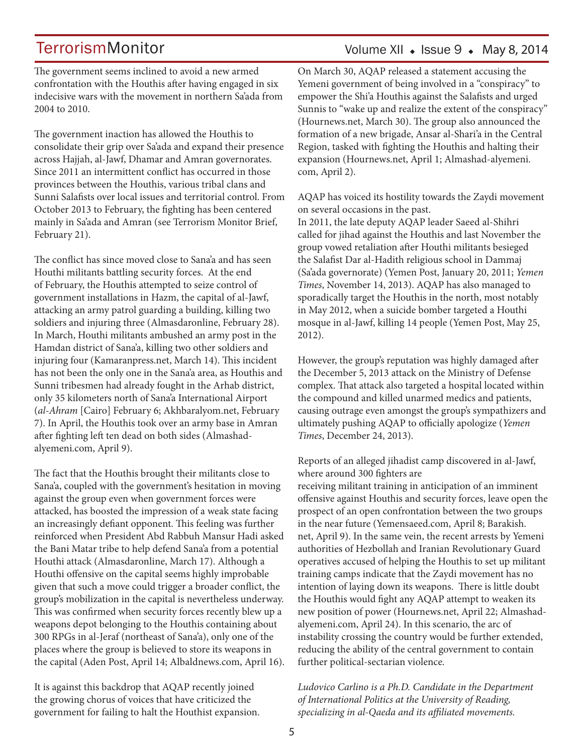The government seems inclined to avoid a new armed confrontation with the Houthis after having engaged in six indecisive wars with the movement in northern Sa'ada from 2004 to 2010.

The government inaction has allowed the Houthis to consolidate their grip over Sa'ada and expand their presence across Hajjah, al-Jawf, Dhamar and Amran governorates. Since 2011 an intermittent conflict has occurred in those provinces between the Houthis, various tribal clans and Sunni Salafists over local issues and territorial control. From October 2013 to February, the fighting has been centered mainly in Sa'ada and Amran (see Terrorism Monitor Brief, February 21).

The conflict has since moved close to Sana'a and has seen Houthi militants battling security forces. At the end of February, the Houthis attempted to seize control of government installations in Hazm, the capital of al-Jawf, attacking an army patrol guarding a building, killing two soldiers and injuring three (Almasdaronline, February 28). In March, Houthi militants ambushed an army post in the Hamdan district of Sana'a, killing two other soldiers and injuring four (Kamaranpress.net, March 14). This incident has not been the only one in the Sana'a area, as Houthis and Sunni tribesmen had already fought in the Arhab district, only 35 kilometers north of Sana'a International Airport (*al-Ahram* [Cairo] February 6; Akhbaralyom.net, February 7). In April, the Houthis took over an army base in Amran after fighting left ten dead on both sides (Almashadalyemeni.com, April 9).

The fact that the Houthis brought their militants close to Sana'a, coupled with the government's hesitation in moving against the group even when government forces were attacked, has boosted the impression of a weak state facing an increasingly defiant opponent. This feeling was further reinforced when President Abd Rabbuh Mansur Hadi asked the Bani Matar tribe to help defend Sana'a from a potential Houthi attack (Almasdaronline, March 17). Although a Houthi offensive on the capital seems highly improbable given that such a move could trigger a broader conflict, the group's mobilization in the capital is nevertheless underway. This was confirmed when security forces recently blew up a weapons depot belonging to the Houthis containing about 300 RPGs in al-Jeraf (northeast of Sana'a), only one of the places where the group is believed to store its weapons in the capital (Aden Post, April 14; Albaldnews.com, April 16).

It is against this backdrop that AQAP recently joined the growing chorus of voices that have criticized the government for failing to halt the Houthist expansion.

### Volume XII  $\;\ast\;$  Issue 9  $\;\ast\;$  May 8, 2014

On March 30, AQAP released a statement accusing the Yemeni government of being involved in a "conspiracy" to empower the Shi'a Houthis against the Salafists and urged Sunnis to "wake up and realize the extent of the conspiracy" (Hournews.net, March 30). The group also announced the formation of a new brigade, Ansar al-Shari'a in the Central Region, tasked with fighting the Houthis and halting their expansion (Hournews.net, April 1; Almashad-alyemeni. com, April 2).

AQAP has voiced its hostility towards the Zaydi movement on several occasions in the past.

In 2011, the late deputy AQAP leader Saeed al-Shihri called for jihad against the Houthis and last November the group vowed retaliation after Houthi militants besieged the Salafist Dar al-Hadith religious school in Dammaj (Sa'ada governorate) (Yemen Post, January 20, 2011; *Yemen Times*, November 14, 2013). AQAP has also managed to sporadically target the Houthis in the north, most notably in May 2012, when a suicide bomber targeted a Houthi mosque in al-Jawf, killing 14 people (Yemen Post, May 25, 2012).

However, the group's reputation was highly damaged after the December 5, 2013 attack on the Ministry of Defense complex. That attack also targeted a hospital located within the compound and killed unarmed medics and patients, causing outrage even amongst the group's sympathizers and ultimately pushing AQAP to officially apologize (*Yemen Times*, December 24, 2013).

Reports of an alleged jihadist camp discovered in al-Jawf, where around 300 fighters are receiving militant training in anticipation of an imminent offensive against Houthis and security forces, leave open the prospect of an open confrontation between the two groups in the near future (Yemensaeed.com, April 8; Barakish. net, April 9). In the same vein, the recent arrests by Yemeni authorities of Hezbollah and Iranian Revolutionary Guard operatives accused of helping the Houthis to set up militant training camps indicate that the Zaydi movement has no intention of laying down its weapons. There is little doubt the Houthis would fight any AQAP attempt to weaken its new position of power (Hournews.net, April 22; Almashadalyemeni.com, April 24). In this scenario, the arc of instability crossing the country would be further extended, reducing the ability of the central government to contain further political-sectarian violence.

*Ludovico Carlino is a Ph.D. Candidate in the Department of International Politics at the University of Reading, specializing in al-Qaeda and its affiliated movements.*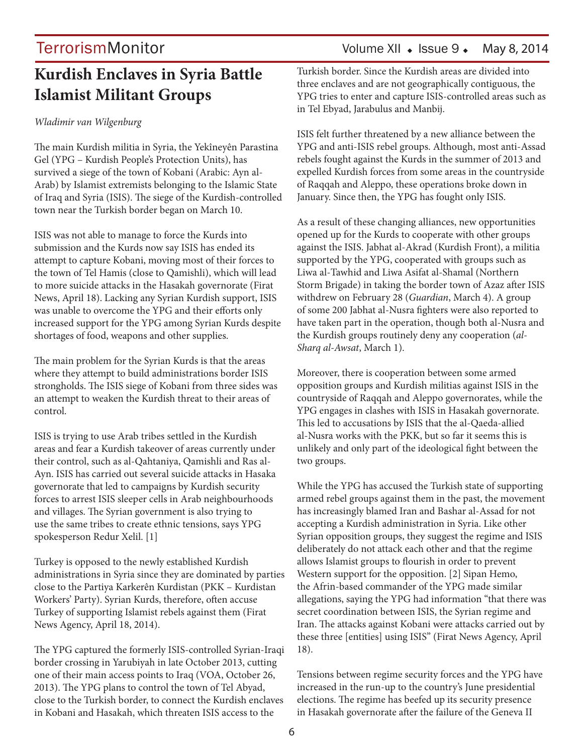### **Kurdish Enclaves in Syria Battle Islamist Militant Groups**

#### *Wladimir van Wilgenburg*

The main Kurdish militia in Syria, the Yekîneyên Parastina Gel (YPG – Kurdish People's Protection Units), has survived a siege of the town of Kobani (Arabic: Ayn al-Arab) by Islamist extremists belonging to the Islamic State of Iraq and Syria (ISIS). The siege of the Kurdish-controlled town near the Turkish border began on March 10.

ISIS was not able to manage to force the Kurds into submission and the Kurds now say ISIS has ended its attempt to capture Kobani, moving most of their forces to the town of Tel Hamis (close to Qamishli), which will lead to more suicide attacks in the Hasakah governorate (Firat News, April 18). Lacking any Syrian Kurdish support, ISIS was unable to overcome the YPG and their efforts only increased support for the YPG among Syrian Kurds despite shortages of food, weapons and other supplies.

The main problem for the Syrian Kurds is that the areas where they attempt to build administrations border ISIS strongholds. The ISIS siege of Kobani from three sides was an attempt to weaken the Kurdish threat to their areas of control.

ISIS is trying to use Arab tribes settled in the Kurdish areas and fear a Kurdish takeover of areas currently under their control, such as al-Qahtaniya, Qamishli and Ras al-Ayn. ISIS has carried out several suicide attacks in Hasaka governorate that led to campaigns by Kurdish security forces to arrest ISIS sleeper cells in Arab neighbourhoods and villages. The Syrian government is also trying to use the same tribes to create ethnic tensions, says YPG spokesperson Redur Xelil. [1]

Turkey is opposed to the newly established Kurdish administrations in Syria since they are dominated by parties close to the Partiya Karkerên Kurdistan (PKK – Kurdistan Workers' Party). Syrian Kurds, therefore, often accuse Turkey of supporting Islamist rebels against them (Firat News Agency, April 18, 2014).

The YPG captured the formerly ISIS-controlled Syrian-Iraqi border crossing in Yarubiyah in late October 2013, cutting one of their main access points to Iraq (VOA, October 26, 2013). The YPG plans to control the town of Tel Abyad, close to the Turkish border, to connect the Kurdish enclaves in Kobani and Hasakah, which threaten ISIS access to the

#### Turkish border. Since the Kurdish areas are divided into three enclaves and are not geographically contiguous, the YPG tries to enter and capture ISIS-controlled areas such as in Tel Ebyad, Jarabulus and Manbij.

ISIS felt further threatened by a new alliance between the YPG and anti-ISIS rebel groups. Although, most anti-Assad rebels fought against the Kurds in the summer of 2013 and expelled Kurdish forces from some areas in the countryside of Raqqah and Aleppo, these operations broke down in January. Since then, the YPG has fought only ISIS.

As a result of these changing alliances, new opportunities opened up for the Kurds to cooperate with other groups against the ISIS. Jabhat al-Akrad (Kurdish Front), a militia supported by the YPG, cooperated with groups such as Liwa al-Tawhid and Liwa Asifat al-Shamal (Northern Storm Brigade) in taking the border town of Azaz after ISIS withdrew on February 28 (*Guardian*, March 4). A group of some 200 Jabhat al-Nusra fighters were also reported to have taken part in the operation, though both al-Nusra and the Kurdish groups routinely deny any cooperation (*al-Sharq al-Awsat*, March 1).

Moreover, there is cooperation between some armed opposition groups and Kurdish militias against ISIS in the countryside of Raqqah and Aleppo governorates, while the YPG engages in clashes with ISIS in Hasakah governorate. This led to accusations by ISIS that the al-Qaeda-allied al-Nusra works with the PKK, but so far it seems this is unlikely and only part of the ideological fight between the two groups.

While the YPG has accused the Turkish state of supporting armed rebel groups against them in the past, the movement has increasingly blamed Iran and Bashar al-Assad for not accepting a Kurdish administration in Syria. Like other Syrian opposition groups, they suggest the regime and ISIS deliberately do not attack each other and that the regime allows Islamist groups to flourish in order to prevent Western support for the opposition. [2] Sipan Hemo, the Afrin-based commander of the YPG made similar allegations, saying the YPG had information "that there was secret coordination between ISIS, the Syrian regime and Iran. The attacks against Kobani were attacks carried out by these three [entities] using ISIS" (Firat News Agency, April 18).

Tensions between regime security forces and the YPG have increased in the run-up to the country's June presidential elections. The regime has beefed up its security presence in Hasakah governorate after the failure of the Geneva II

### TerrorismMonitor Volume XII • Issue 9 • May 8, 2014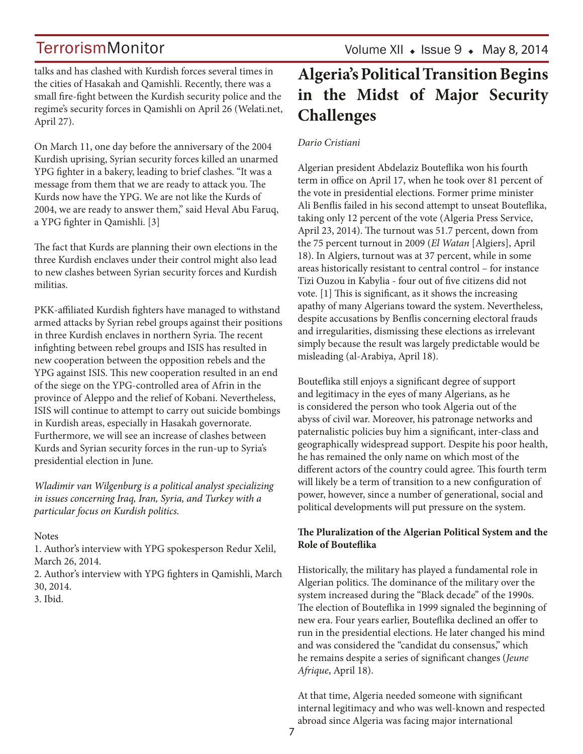talks and has clashed with Kurdish forces several times in the cities of Hasakah and Qamishli. Recently, there was a small fire-fight between the Kurdish security police and the regime's security forces in Qamishli on April 26 (Welati.net, April 27).

On March 11, one day before the anniversary of the 2004 Kurdish uprising, Syrian security forces killed an unarmed YPG fighter in a bakery, leading to brief clashes. "It was a message from them that we are ready to attack you. The Kurds now have the YPG. We are not like the Kurds of 2004, we are ready to answer them," said Heval Abu Faruq, a YPG fighter in Qamishli. [3]

The fact that Kurds are planning their own elections in the three Kurdish enclaves under their control might also lead to new clashes between Syrian security forces and Kurdish militias.

PKK-affiliated Kurdish fighters have managed to withstand armed attacks by Syrian rebel groups against their positions in three Kurdish enclaves in northern Syria. The recent infighting between rebel groups and ISIS has resulted in new cooperation between the opposition rebels and the YPG against ISIS. This new cooperation resulted in an end of the siege on the YPG-controlled area of Afrin in the province of Aleppo and the relief of Kobani. Nevertheless, ISIS will continue to attempt to carry out suicide bombings in Kurdish areas, especially in Hasakah governorate. Furthermore, we will see an increase of clashes between Kurds and Syrian security forces in the run-up to Syria's presidential election in June.

*Wladimir van Wilgenburg is a political analyst specializing in issues concerning Iraq, Iran, Syria, and Turkey with a particular focus on Kurdish politics.*

#### **Notes**

1. Author's interview with YPG spokesperson Redur Xelil, March 26, 2014.

2. Author's interview with YPG fighters in Qamishli, March 30, 2014.

3. Ibid.

## **Algeria's Political Transition Begins in the Midst of Major Security Challenges**

#### *Dario Cristiani*

Algerian president Abdelaziz Bouteflika won his fourth term in office on April 17, when he took over 81 percent of the vote in presidential elections. Former prime minister Ali Benflis failed in his second attempt to unseat Bouteflika, taking only 12 percent of the vote (Algeria Press Service, April 23, 2014). The turnout was 51.7 percent, down from the 75 percent turnout in 2009 (*El Watan* [Algiers], April 18). In Algiers, turnout was at 37 percent, while in some areas historically resistant to central control – for instance Tizi Ouzou in Kabylia - four out of five citizens did not vote. [1] This is significant, as it shows the increasing apathy of many Algerians toward the system. Nevertheless, despite accusations by Benflis concerning electoral frauds and irregularities, dismissing these elections as irrelevant simply because the result was largely predictable would be misleading (al-Arabiya, April 18).

Bouteflika still enjoys a significant degree of support and legitimacy in the eyes of many Algerians, as he is considered the person who took Algeria out of the abyss of civil war. Moreover, his patronage networks and paternalistic policies buy him a significant, inter-class and geographically widespread support. Despite his poor health, he has remained the only name on which most of the different actors of the country could agree. This fourth term will likely be a term of transition to a new configuration of power, however, since a number of generational, social and political developments will put pressure on the system.

#### **The Pluralization of the Algerian Political System and the Role of Bouteflika**

Historically, the military has played a fundamental role in Algerian politics. The dominance of the military over the system increased during the "Black decade" of the 1990s. The election of Bouteflika in 1999 signaled the beginning of new era. Four years earlier, Bouteflika declined an offer to run in the presidential elections. He later changed his mind and was considered the "candidat du consensus," which he remains despite a series of significant changes (*Jeune Afrique*, April 18).

At that time, Algeria needed someone with significant internal legitimacy and who was well-known and respected abroad since Algeria was facing major international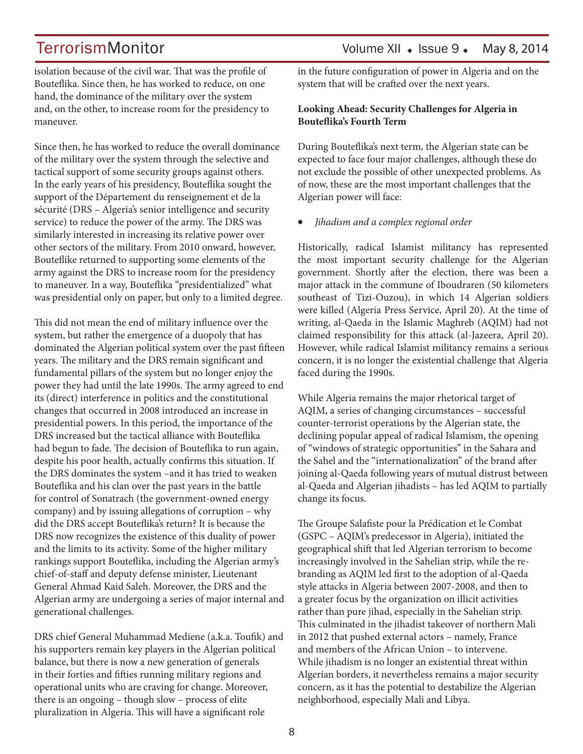## TerrorismMonitor Volume XII • Issue 9 • May 8, 2014

isolation because of the civil war. That was the profile of Bouteflika. Since then, he has worked to reduce, on one hand, the dominance of the military over the system and, on the other, to increase room for the presidency to maneuver.

Since then, he has worked to reduce the overall dominance of the military over the system through the selective and tactical support of some security groups against others. In the early years of his presidency, Bouteflika sought the support of the Département du renseignement et de la sécurité (DRS – Algeria's senior intelligence and security service) to reduce the power of the army. The DRS was similarly interested in increasing its relative power over other sectors of the military. From 2010 onward, however, Bouteflike returned to supporting some elements of the army against the DRS to increase room for the presidency to maneuver. In a way, Bouteflika "presidentialized" what was presidential only on paper, but only to a limited degree.

This did not mean the end of military influence over the system, but rather the emergence of a duopoly that has dominated the Algerian political system over the past fifteen years. The military and the DRS remain significant and fundamental pillars of the system but no longer enjoy the power they had until the late 1990s. The army agreed to end its (direct) interference in politics and the constitutional changes that occurred in 2008 introduced an increase in presidential powers. In this period, the importance of the DRS increased but the tactical alliance with Bouteflika had begun to fade. The decision of Bouteflika to run again, despite his poor health, actually confirms this situation. If the DRS dominates the system –and it has tried to weaken Bouteflika and his clan over the past years in the battle for control of Sonatrach (the government-owned energy company) and by issuing allegations of corruption – why did the DRS accept Bouteflika's return? It is because the DRS now recognizes the existence of this duality of power and the limits to its activity. Some of the higher military rankings support Bouteflika, including the Algerian army's chief-of-staff and deputy defense minister, Lieutenant General Ahmad Kaid Saleh. Moreover, the DRS and the Algerian army are undergoing a series of major internal and generational challenges.

DRS chief General Muhammad Mediene (a.k.a. Toufik) and his supporters remain key players in the Algerian political balance, but there is now a new generation of generals in their forties and fifties running military regions and operational units who are craving for change. Moreover, there is an ongoing – though slow – process of elite pluralization in Algeria. This will have a significant role

in the future configuration of power in Algeria and on the system that will be crafted over the next years.

#### **Looking Ahead: Security Challenges for Algeria in Bouteflika's Fourth Term**

During Bouteflika's next term, the Algerian state can be expected to face four major challenges, although these do not exclude the possible of other unexpected problems. As of now, these are the most important challenges that the Algerian power will face:

*Jihadism and a complex regional order* 

Historically, radical Islamist militancy has represented the most important security challenge for the Algerian government. Shortly after the election, there was been a major attack in the commune of Iboudraren (50 kilometers southeast of Tizi-Ouzou), in which 14 Algerian soldiers were killed (Algeria Press Service, April 20). At the time of writing, al-Qaeda in the Islamic Maghreb (AQIM) had not claimed responsibility for this attack (al-Jazeera, April 20). However, while radical Islamist militancy remains a serious concern, it is no longer the existential challenge that Algeria faced during the 1990s.

While Algeria remains the major rhetorical target of AQIM, a series of changing circumstances – successful counter-terrorist operations by the Algerian state, the declining popular appeal of radical Islamism, the opening of "windows of strategic opportunities" in the Sahara and the Sahel and the "internationalization" of the brand after joining al-Qaeda following years of mutual distrust between al-Qaeda and Algerian jihadists – has led AQIM to partially change its focus.

The Groupe Salafiste pour la Prédication et le Combat (GSPC – AQIM's predecessor in Algeria), initiated the geographical shift that led Algerian terrorism to become increasingly involved in the Sahelian strip, while the rebranding as AQIM led first to the adoption of al-Qaeda style attacks in Algeria between 2007-2008, and then to a greater focus by the organization on illicit activities rather than pure jihad, especially in the Sahelian strip. This culminated in the jihadist takeover of northern Mali in 2012 that pushed external actors – namely, France and members of the African Union – to intervene. While jihadism is no longer an existential threat within Algerian borders, it nevertheless remains a major security concern, as it has the potential to destabilize the Algerian neighborhood, especially Mali and Libya.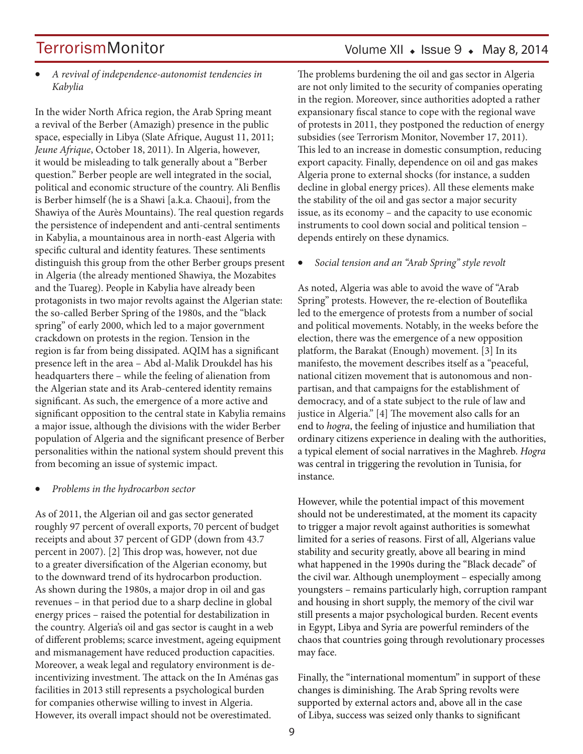• *A revival of independence-autonomist tendencies in Kabylia* 

In the wider North Africa region, the Arab Spring meant a revival of the Berber (Amazigh) presence in the public space, especially in Libya (Slate Afrique, August 11, 2011; *Jeune Afrique*, October 18, 2011). In Algeria, however, it would be misleading to talk generally about a "Berber question." Berber people are well integrated in the social, political and economic structure of the country. Ali Benflis is Berber himself (he is a Shawi [a.k.a. Chaoui], from the Shawiya of the Aurès Mountains). The real question regards the persistence of independent and anti-central sentiments in Kabylia, a mountainous area in north-east Algeria with specific cultural and identity features. These sentiments distinguish this group from the other Berber groups present in Algeria (the already mentioned Shawiya, the Mozabites and the Tuareg). People in Kabylia have already been protagonists in two major revolts against the Algerian state: the so-called Berber Spring of the 1980s, and the "black spring" of early 2000, which led to a major government crackdown on protests in the region. Tension in the region is far from being dissipated. AQIM has a significant presence left in the area – Abd al-Malik Droukdel has his headquarters there – while the feeling of alienation from the Algerian state and its Arab-centered identity remains significant. As such, the emergence of a more active and significant opposition to the central state in Kabylia remains a major issue, although the divisions with the wider Berber population of Algeria and the significant presence of Berber personalities within the national system should prevent this from becoming an issue of systemic impact.

#### **Problems in the hydrocarbon sector**

As of 2011, the Algerian oil and gas sector generated roughly 97 percent of overall exports, 70 percent of budget receipts and about 37 percent of GDP (down from 43.7 percent in 2007). [2] This drop was, however, not due to a greater diversification of the Algerian economy, but to the downward trend of its hydrocarbon production. As shown during the 1980s, a major drop in oil and gas revenues – in that period due to a sharp decline in global energy prices – raised the potential for destabilization in the country. Algeria's oil and gas sector is caught in a web of different problems; scarce investment, ageing equipment and mismanagement have reduced production capacities. Moreover, a weak legal and regulatory environment is deincentivizing investment. The attack on the In Aménas gas facilities in 2013 still represents a psychological burden for companies otherwise willing to invest in Algeria. However, its overall impact should not be overestimated.

### Volume XII  $\bullet$  Issue 9  $\bullet$  May 8, 2014

The problems burdening the oil and gas sector in Algeria are not only limited to the security of companies operating in the region. Moreover, since authorities adopted a rather expansionary fiscal stance to cope with the regional wave of protests in 2011, they postponed the reduction of energy subsidies (see Terrorism Monitor, November 17, 2011). This led to an increase in domestic consumption, reducing export capacity. Finally, dependence on oil and gas makes Algeria prone to external shocks (for instance, a sudden decline in global energy prices). All these elements make the stability of the oil and gas sector a major security issue, as its economy – and the capacity to use economic instruments to cool down social and political tension – depends entirely on these dynamics.

#### Social tension and an "Arab Spring" style revolt

As noted, Algeria was able to avoid the wave of "Arab Spring" protests. However, the re-election of Bouteflika led to the emergence of protests from a number of social and political movements. Notably, in the weeks before the election, there was the emergence of a new opposition platform, the Barakat (Enough) movement. [3] In its manifesto, the movement describes itself as a "peaceful, national citizen movement that is autonomous and nonpartisan, and that campaigns for the establishment of democracy, and of a state subject to the rule of law and justice in Algeria." [4] The movement also calls for an end to *hogra*, the feeling of injustice and humiliation that ordinary citizens experience in dealing with the authorities, a typical element of social narratives in the Maghreb. *Hogra* was central in triggering the revolution in Tunisia, for instance.

However, while the potential impact of this movement should not be underestimated, at the moment its capacity to trigger a major revolt against authorities is somewhat limited for a series of reasons. First of all, Algerians value stability and security greatly, above all bearing in mind what happened in the 1990s during the "Black decade" of the civil war. Although unemployment – especially among youngsters – remains particularly high, corruption rampant and housing in short supply, the memory of the civil war still presents a major psychological burden. Recent events in Egypt, Libya and Syria are powerful reminders of the chaos that countries going through revolutionary processes may face.

Finally, the "international momentum" in support of these changes is diminishing. The Arab Spring revolts were supported by external actors and, above all in the case of Libya, success was seized only thanks to significant